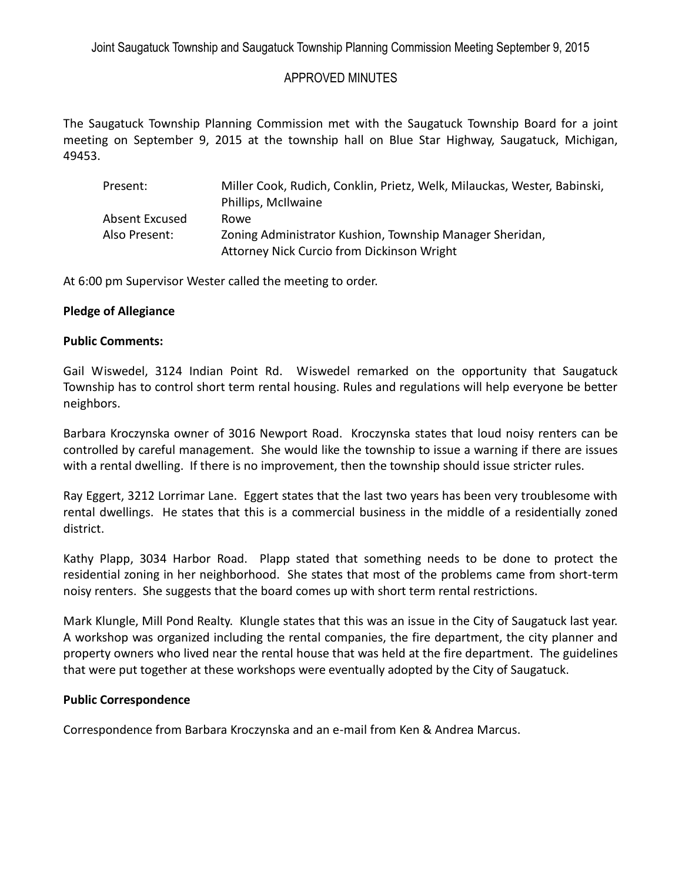# APPROVED MINUTES

The Saugatuck Township Planning Commission met with the Saugatuck Township Board for a joint meeting on September 9, 2015 at the township hall on Blue Star Highway, Saugatuck, Michigan, 49453.

| Present:       | Miller Cook, Rudich, Conklin, Prietz, Welk, Milauckas, Wester, Babinski,<br>Phillips, McIlwaine |
|----------------|-------------------------------------------------------------------------------------------------|
| Absent Excused | Rowe                                                                                            |
| Also Present:  | Zoning Administrator Kushion, Township Manager Sheridan,                                        |
|                | Attorney Nick Curcio from Dickinson Wright                                                      |

At 6:00 pm Supervisor Wester called the meeting to order.

## **Pledge of Allegiance**

## **Public Comments:**

Gail Wiswedel, 3124 Indian Point Rd. Wiswedel remarked on the opportunity that Saugatuck Township has to control short term rental housing. Rules and regulations will help everyone be better neighbors.

Barbara Kroczynska owner of 3016 Newport Road. Kroczynska states that loud noisy renters can be controlled by careful management. She would like the township to issue a warning if there are issues with a rental dwelling. If there is no improvement, then the township should issue stricter rules.

Ray Eggert, 3212 Lorrimar Lane. Eggert states that the last two years has been very troublesome with rental dwellings. He states that this is a commercial business in the middle of a residentially zoned district.

Kathy Plapp, 3034 Harbor Road. Plapp stated that something needs to be done to protect the residential zoning in her neighborhood. She states that most of the problems came from short-term noisy renters. She suggests that the board comes up with short term rental restrictions.

Mark Klungle, Mill Pond Realty. Klungle states that this was an issue in the City of Saugatuck last year. A workshop was organized including the rental companies, the fire department, the city planner and property owners who lived near the rental house that was held at the fire department. The guidelines that were put together at these workshops were eventually adopted by the City of Saugatuck.

## **Public Correspondence**

Correspondence from Barbara Kroczynska and an e-mail from Ken & Andrea Marcus.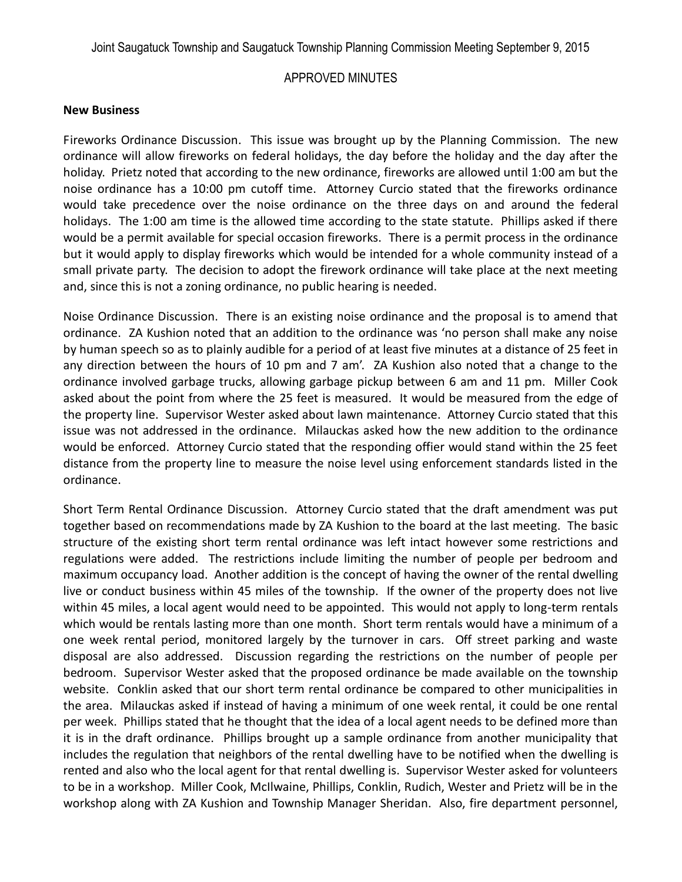Joint Saugatuck Township and Saugatuck Township Planning Commission Meeting September 9, 2015

# APPROVED MINUTES

#### **New Business**

Fireworks Ordinance Discussion. This issue was brought up by the Planning Commission. The new ordinance will allow fireworks on federal holidays, the day before the holiday and the day after the holiday. Prietz noted that according to the new ordinance, fireworks are allowed until 1:00 am but the noise ordinance has a 10:00 pm cutoff time. Attorney Curcio stated that the fireworks ordinance would take precedence over the noise ordinance on the three days on and around the federal holidays. The 1:00 am time is the allowed time according to the state statute. Phillips asked if there would be a permit available for special occasion fireworks. There is a permit process in the ordinance but it would apply to display fireworks which would be intended for a whole community instead of a small private party. The decision to adopt the firework ordinance will take place at the next meeting and, since this is not a zoning ordinance, no public hearing is needed.

Noise Ordinance Discussion. There is an existing noise ordinance and the proposal is to amend that ordinance. ZA Kushion noted that an addition to the ordinance was 'no person shall make any noise by human speech so as to plainly audible for a period of at least five minutes at a distance of 25 feet in any direction between the hours of 10 pm and 7 am'. ZA Kushion also noted that a change to the ordinance involved garbage trucks, allowing garbage pickup between 6 am and 11 pm. Miller Cook asked about the point from where the 25 feet is measured. It would be measured from the edge of the property line. Supervisor Wester asked about lawn maintenance. Attorney Curcio stated that this issue was not addressed in the ordinance. Milauckas asked how the new addition to the ordinance would be enforced. Attorney Curcio stated that the responding offier would stand within the 25 feet distance from the property line to measure the noise level using enforcement standards listed in the ordinance.

Short Term Rental Ordinance Discussion. Attorney Curcio stated that the draft amendment was put together based on recommendations made by ZA Kushion to the board at the last meeting. The basic structure of the existing short term rental ordinance was left intact however some restrictions and regulations were added. The restrictions include limiting the number of people per bedroom and maximum occupancy load. Another addition is the concept of having the owner of the rental dwelling live or conduct business within 45 miles of the township. If the owner of the property does not live within 45 miles, a local agent would need to be appointed. This would not apply to long-term rentals which would be rentals lasting more than one month. Short term rentals would have a minimum of a one week rental period, monitored largely by the turnover in cars. Off street parking and waste disposal are also addressed. Discussion regarding the restrictions on the number of people per bedroom. Supervisor Wester asked that the proposed ordinance be made available on the township website. Conklin asked that our short term rental ordinance be compared to other municipalities in the area. Milauckas asked if instead of having a minimum of one week rental, it could be one rental per week. Phillips stated that he thought that the idea of a local agent needs to be defined more than it is in the draft ordinance. Phillips brought up a sample ordinance from another municipality that includes the regulation that neighbors of the rental dwelling have to be notified when the dwelling is rented and also who the local agent for that rental dwelling is. Supervisor Wester asked for volunteers to be in a workshop. Miller Cook, McIlwaine, Phillips, Conklin, Rudich, Wester and Prietz will be in the workshop along with ZA Kushion and Township Manager Sheridan. Also, fire department personnel,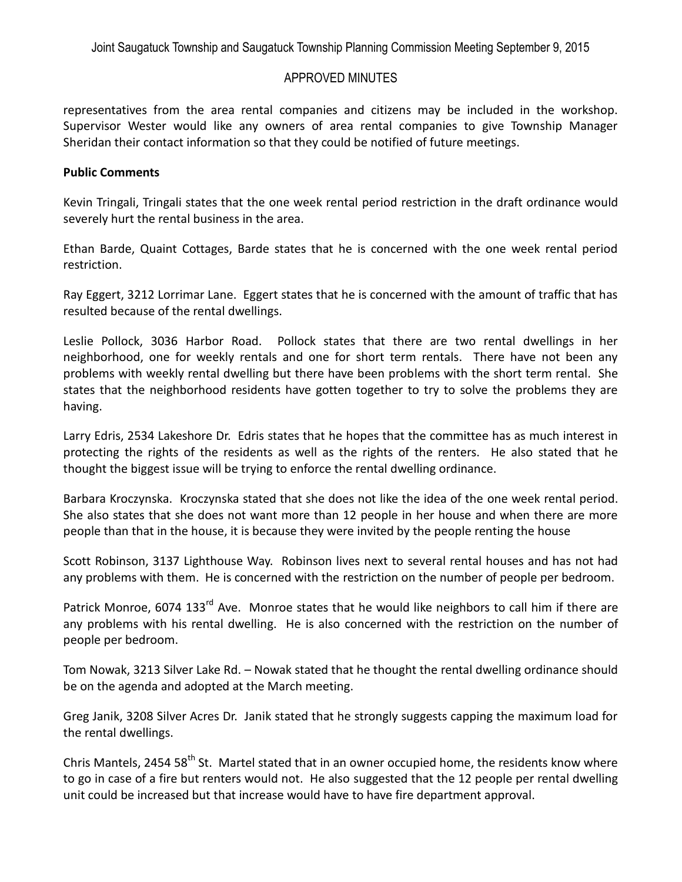Joint Saugatuck Township and Saugatuck Township Planning Commission Meeting September 9, 2015

# APPROVED MINUTES

representatives from the area rental companies and citizens may be included in the workshop. Supervisor Wester would like any owners of area rental companies to give Township Manager Sheridan their contact information so that they could be notified of future meetings.

## **Public Comments**

Kevin Tringali, Tringali states that the one week rental period restriction in the draft ordinance would severely hurt the rental business in the area.

Ethan Barde, Quaint Cottages, Barde states that he is concerned with the one week rental period restriction.

Ray Eggert, 3212 Lorrimar Lane. Eggert states that he is concerned with the amount of traffic that has resulted because of the rental dwellings.

Leslie Pollock, 3036 Harbor Road. Pollock states that there are two rental dwellings in her neighborhood, one for weekly rentals and one for short term rentals. There have not been any problems with weekly rental dwelling but there have been problems with the short term rental. She states that the neighborhood residents have gotten together to try to solve the problems they are having.

Larry Edris, 2534 Lakeshore Dr. Edris states that he hopes that the committee has as much interest in protecting the rights of the residents as well as the rights of the renters. He also stated that he thought the biggest issue will be trying to enforce the rental dwelling ordinance.

Barbara Kroczynska. Kroczynska stated that she does not like the idea of the one week rental period. She also states that she does not want more than 12 people in her house and when there are more people than that in the house, it is because they were invited by the people renting the house

Scott Robinson, 3137 Lighthouse Way. Robinson lives next to several rental houses and has not had any problems with them. He is concerned with the restriction on the number of people per bedroom.

Patrick Monroe, 6074 133<sup>rd</sup> Ave. Monroe states that he would like neighbors to call him if there are any problems with his rental dwelling. He is also concerned with the restriction on the number of people per bedroom.

Tom Nowak, 3213 Silver Lake Rd. – Nowak stated that he thought the rental dwelling ordinance should be on the agenda and adopted at the March meeting.

Greg Janik, 3208 Silver Acres Dr. Janik stated that he strongly suggests capping the maximum load for the rental dwellings.

Chris Mantels, 2454 58<sup>th</sup> St. Martel stated that in an owner occupied home, the residents know where to go in case of a fire but renters would not. He also suggested that the 12 people per rental dwelling unit could be increased but that increase would have to have fire department approval.